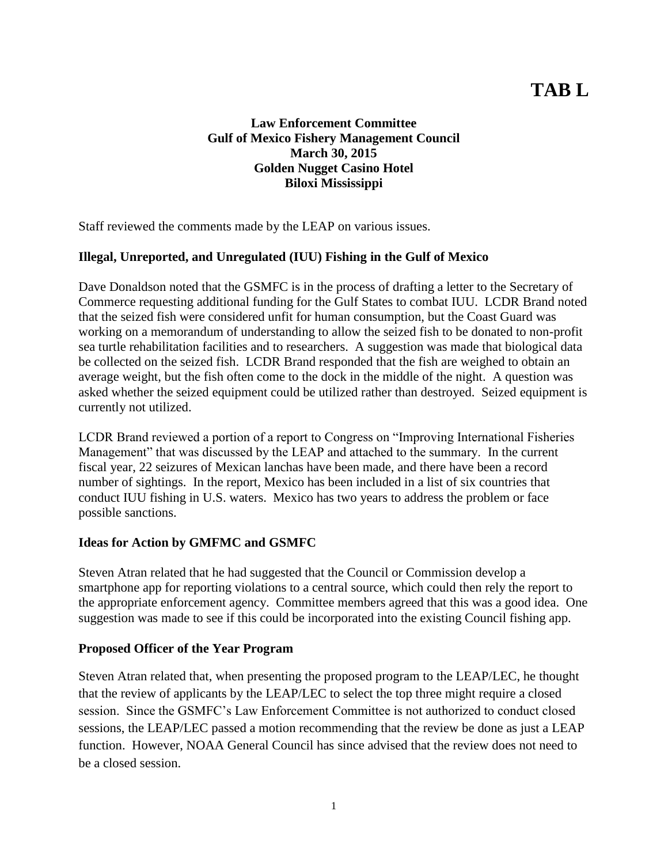# **TAB L**

## **Law Enforcement Committee Gulf of Mexico Fishery Management Council March 30, 2015 Golden Nugget Casino Hotel Biloxi Mississippi**

Staff reviewed the comments made by the LEAP on various issues.

## **Illegal, Unreported, and Unregulated (IUU) Fishing in the Gulf of Mexico**

Dave Donaldson noted that the GSMFC is in the process of drafting a letter to the Secretary of Commerce requesting additional funding for the Gulf States to combat IUU. LCDR Brand noted that the seized fish were considered unfit for human consumption, but the Coast Guard was working on a memorandum of understanding to allow the seized fish to be donated to non-profit sea turtle rehabilitation facilities and to researchers. A suggestion was made that biological data be collected on the seized fish. LCDR Brand responded that the fish are weighed to obtain an average weight, but the fish often come to the dock in the middle of the night. A question was asked whether the seized equipment could be utilized rather than destroyed. Seized equipment is currently not utilized.

LCDR Brand reviewed a portion of a report to Congress on "Improving International Fisheries Management" that was discussed by the LEAP and attached to the summary. In the current fiscal year, 22 seizures of Mexican lanchas have been made, and there have been a record number of sightings. In the report, Mexico has been included in a list of six countries that conduct IUU fishing in U.S. waters. Mexico has two years to address the problem or face possible sanctions.

#### **Ideas for Action by GMFMC and GSMFC**

Steven Atran related that he had suggested that the Council or Commission develop a smartphone app for reporting violations to a central source, which could then rely the report to the appropriate enforcement agency. Committee members agreed that this was a good idea. One suggestion was made to see if this could be incorporated into the existing Council fishing app.

#### **Proposed Officer of the Year Program**

Steven Atran related that, when presenting the proposed program to the LEAP/LEC, he thought that the review of applicants by the LEAP/LEC to select the top three might require a closed session. Since the GSMFC's Law Enforcement Committee is not authorized to conduct closed sessions, the LEAP/LEC passed a motion recommending that the review be done as just a LEAP function. However, NOAA General Council has since advised that the review does not need to be a closed session.